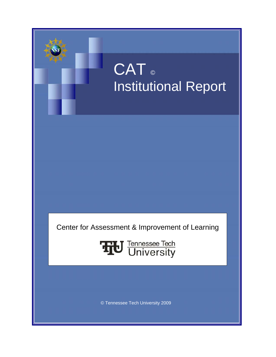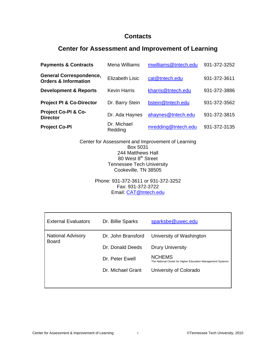### **Contacts**

### **Center for Assessment and Improvement of Learning**

| <b>Payments &amp; Contracts</b>                                   | Mena Williams          | mwilliams@tntech.edu | 931-372-3252 |
|-------------------------------------------------------------------|------------------------|----------------------|--------------|
| <b>General Correspondence,</b><br><b>Orders &amp; Information</b> | Elizabeth Lisic        | cat@tntech.edu       | 931-372-3611 |
| <b>Development &amp; Reports</b>                                  | <b>Kevin Harris</b>    | kharris@tntech.edu   | 931-372-3886 |
| <b>Project PI &amp; Co-Director</b>                               | Dr. Barry Stein        | bstein@tntech.edu    | 931-372-3562 |
| Project Co-PI & Co-<br><b>Director</b>                            | Dr. Ada Haynes         | ahaynes@tntech.edu   | 931-372-3815 |
| <b>Project Co-PI</b>                                              | Dr. Michael<br>Redding | mredding@tntech.edu  | 931-372-3135 |

Center for Assessment and Improvement of Learning Box 5031 244 Matthews Hall 80 West 8<sup>th</sup> Street Tennessee Tech University Cookeville, TN 38505

> Phone: 931-372-3611 or 931-372-3252 Fax: 931-372-3722 Email: [CAT@tntech.edu](mailto:CAT@tntech.edu)

| <b>External Evaluators</b>        | Dr. Billie Sparks  | sparksbe@uwec.edu                                                            |
|-----------------------------------|--------------------|------------------------------------------------------------------------------|
| <b>National Advisory</b><br>Board | Dr. John Bransford | University of Washington                                                     |
|                                   | Dr. Donald Deeds   | <b>Drury University</b>                                                      |
|                                   | Dr. Peter Ewell    | <b>NCHEMS</b><br>The National Center for Higher Education Management Systems |
|                                   | Dr. Michael Grant  | University of Colorado                                                       |
|                                   |                    |                                                                              |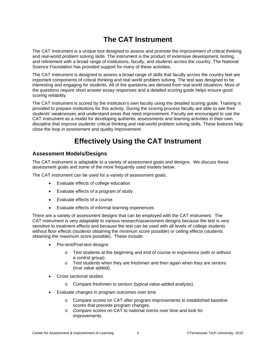## **The CAT Instrument**

The CAT Instrument is a unique tool designed to assess and promote the improvement of critical thinking and real-world problem solving skills. The instrument is the product of extensive development, testing, and refinement with a broad range of institutions, faculty, and students across the country. The National Science Foundation has provided support for many of these activities.

The CAT Instrument is designed to assess a broad range of skills that faculty across the country feel are important components of critical thinking and real world problem solving. The test was designed to be interesting and engaging for students. All of the questions are derived from real world situations. Most of the questions require short answer essay responses and a detailed scoring guide helps ensure good scoring reliability.

The CAT Instrument is scored by the institution's own faculty using the detailed scoring guide. Training is provided to prepare institutions for this activity. During the scoring process faculty are able to see their students' weaknesses and understand areas that need improvement. Faculty are encouraged to use the CAT instrument as a model for developing authentic assessments and learning activities in their own discipline that improve students' critical thinking and real-world problem solving skills. These features help close the loop in assessment and quality improvement.

## **Effectively Using the CAT Instrument**

### **Assessment Models/Designs**

The CAT instrument is adaptable to a variety of assessment goals and designs. We discuss these assessment goals and some of the more frequently used models below.

The CAT instrument can be used for a variety of assessment goals.

- Evaluate effects of college education
- Evaluate effects of a program of study
- Evaluate effects of a course
- Evaluate effects of informal learning experiences

There are a variety of assessment designs that can be employed with the CAT instrument. The CAT instrument is very adaptable to various research/assessment designs because the test is very sensitive to treatment effects and because the test can be used with all levels of college students without floor effects (students obtaining the minimum score possible) or ceiling effects (students obtaining the maximum score possible). These include:

- Pre-test/Post-test designs
	- $\circ$  Test students at the beginning and end of course or experience (with or without a control group).
	- $\circ$  Test students when they are freshmen and then again when they are seniors (true value added).
- Cross sectional studies
	- o Compare freshmen to seniors (typical value-added analysis).
- Evaluate changes in program outcomes over time
	- o Compare scores on CAT after program improvements to established baseline scores that precede program changes.
	- o Compare scores on CAT to national norms over time and look for improvements.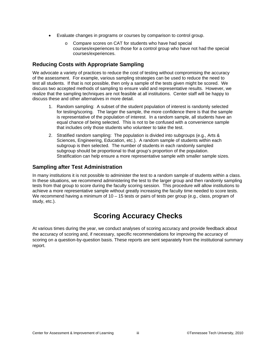- Evaluate changes in programs or courses by comparison to control group.
	- o Compare scores on CAT for students who have had special courses/experiences to those for a control group who have not had the special courses/experiences.

### **Reducing Costs with Appropriate Sampling**

We advocate a variety of practices to reduce the cost of testing without compromising the accuracy of the assessment. For example, various sampling strategies can be used to reduce the need to test all students. If that is not possible, then only a sample of the tests given might be scored. We discuss two accepted methods of sampling to ensure valid and representative results. However, we realize that the sampling techniques are not feasible at all institutions. Center staff will be happy to discuss these and other alternatives in more detail.

- 1. Random sampling: A subset of the student population of interest is randomly selected for testing/scoring. The larger the sample, the more confidence there is that the sample is representative of the population of interest. In a random sample, all students have an equal chance of being selected. This is not to be confused with a convenience sample that includes only those students who volunteer to take the test.
- Sciences, Engineering, Education, etc.). A random sample of students within each 2. Stratified random sampling: The population is divided into subgroups (e.g., Arts & subgroup is then selected. The number of students in each randomly sampled subgroup should be proportional to that group's proportion of the population. Stratification can help ensure a more representative sample with smaller sample sizes.

### **Sampling after Test Administration**

In many institutions it is not possible to administer the test to a random sample of students within a class. In these situations, we recommend administering the test to the larger group and then randomly sampling tests from that group to score during the faculty scoring session. This procedure will allow institutions to achieve a more representative sample without greatly increasing the faculty time needed to score tests. We recommend having a minimum of 10 – 15 tests or pairs of tests per group (e.g., class, program of study, etc.).

## **Scoring Accuracy Checks**

At various times during the year, we conduct analyses of scoring accuracy and provide feedback about the accuracy of scoring and, if necessary, specific recommendations for improving the accuracy of scoring on a question-by-question basis. These reports are sent separately from the institutional summary report.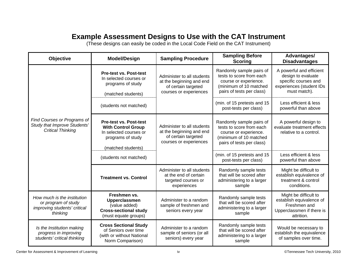## **Example Assessment Designs to Use with the CAT Instrument**

(These designs can easily be coded in the Local Code Field on the CAT Instrument)

| Objective                                                                                      | <b>Model/Design</b>                                                                                                             | <b>Sampling Procedure</b>                                                                               | <b>Sampling Before</b><br><b>Scoring</b>                                                                                             | Advantages/<br><b>Disadvantages</b>                                                                                |
|------------------------------------------------------------------------------------------------|---------------------------------------------------------------------------------------------------------------------------------|---------------------------------------------------------------------------------------------------------|--------------------------------------------------------------------------------------------------------------------------------------|--------------------------------------------------------------------------------------------------------------------|
|                                                                                                | <b>Pre-test vs. Post-test</b><br>In selected courses or<br>programs of study<br>(matched students)                              | Administer to all students<br>at the beginning and end<br>of certain targeted<br>courses or experiences | Randomly sample pairs of<br>tests to score from each<br>course or experience.<br>(minimum of 10 matched<br>pairs of tests per class) | A powerful and efficient<br>design to evaluate<br>specific courses and<br>experiences (student IDs<br>must match). |
|                                                                                                | (students not matched)                                                                                                          |                                                                                                         | (min. of 15 pretests and 15<br>post-tests per class)                                                                                 | Less efficient & less<br>powerful than above                                                                       |
| Find Courses or Programs of<br>Study that Improve Students'<br><b>Critical Thinking</b>        | <b>Pre-test vs. Post-test</b><br><b>With Control Group</b><br>In selected courses or<br>programs of study<br>(matched students) | Administer to all students<br>at the beginning and end<br>of certain targeted<br>courses or experiences | Randomly sample pairs of<br>tests to score from each<br>course or experience.<br>(minimum of 10 matched<br>pairs of tests per class) | A powerful design to<br>evaluate treatment effects<br>relative to a control.                                       |
|                                                                                                | (students not matched)                                                                                                          |                                                                                                         | (min. of 15 pretests and 15<br>post-tests per class)                                                                                 | Less efficient & less<br>powerful than above                                                                       |
|                                                                                                | <b>Treatment vs. Control</b>                                                                                                    | Administer to all students<br>at the end of certain<br>targeted courses or<br>experiences               | Randomly sample tests<br>that will be scored after<br>administering to a larger<br>sample                                            | Might be difficult to<br>establish equivalence of<br>treatment & control<br>conditions.                            |
| How much is the institution<br>or program of study<br>improving students' critical<br>thinking | Freshmen vs.<br>Upperclassmen<br>(value added)<br><b>Cross-sectional study</b><br>(must equate groups)                          | Administer to a random<br>sample of freshmen and<br>seniors every year                                  | Randomly sample tests<br>that will be scored after<br>administering to a larger<br>sample                                            | Might be difficult to<br>establish equivalence of<br>Freshmen and<br>Upperclassmen if there is<br>attrition.       |
| Is the Institution making<br>progress in improving<br>students' critical thinking              | <b>Cross Sectional Study</b><br>of Seniors over time<br>(with or without National<br>Norm Comparison)                           | Administer to a random<br>sample of seniors (or all<br>seniors) every year                              | Randomly sample tests<br>that will be scored after<br>administering to a larger<br>sample                                            | Would be necessary to<br>establish the equivalence<br>of samples over time.                                        |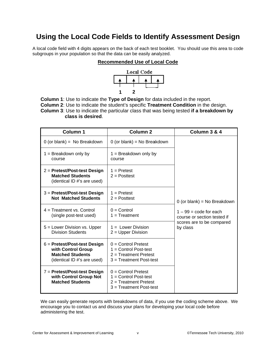## **Using the Local Code Fields to Identify Assessment Design**

A local code field with 4 digits appears on the back of each test booklet. You should use this area to code subgroups in your population so that the data can be easily analyzed.

#### **Recommended Use of Local Code**



**Column 1**: Use to indicate the **Type of Design** for data included in the report.

**Column 2**: Use to indicate the student's specific **Treatment Condition** in the design.

**Column 3**: Use to indicate the particular class that was being tested **if a breakdown by class is desired**.

| <b>Column 1</b>                                                                                                | <b>Column 2</b>                                                                                           | Column 3 & 4                                                   |
|----------------------------------------------------------------------------------------------------------------|-----------------------------------------------------------------------------------------------------------|----------------------------------------------------------------|
| $0$ (or blank) = No Breakdown                                                                                  | $0$ (or blank) = No Breakdown                                                                             |                                                                |
| $1 =$ Breakdown only by<br>course                                                                              | $1 =$ Breakdown only by<br>course                                                                         |                                                                |
| $2 =$ Pretest/Post-test Design<br><b>Matched Students</b><br>(identical ID #'s are used)                       | $1 =$ Pretest<br>$2 =$ Posttest                                                                           |                                                                |
| $3$ = Pretest/Post-test Design<br><b>Not Matched Students</b>                                                  | $1 =$ Pretest<br>$2 =$ Posttest                                                                           | $0$ (or blank) = No Breakdown                                  |
| $4 =$ Treatment vs. Control<br>(single post-test used)                                                         | $0 =$ Control<br>$1 = Treatment$                                                                          | $1 - 99 = \text{code for each}$<br>course or section tested if |
| $5 =$ Lower Division vs. Upper<br><b>Division Students</b>                                                     | $1 =$ Lower Division<br>$2 =$ Upper Division                                                              | scores are to be compared<br>by class                          |
| $6 =$ Pretest/Post-test Design<br>with Control Group<br><b>Matched Students</b><br>(identical ID #'s are used) | $0 =$ Control Pretest<br>$1 =$ Control Post-test<br>$2 = T$ reatment Pretest<br>$3 = Treatment Post-test$ |                                                                |
| 7 = Pretest/Post-test Design<br>with Control Group Not<br><b>Matched Students</b>                              | $0 =$ Control Pretest<br>$1 =$ Control Post-test<br>$2 = Treatment$ Pretest<br>3 = Treatment Post-test    |                                                                |

We can easily generate reports with breakdowns of data, if you use the coding scheme above. We encourage you to contact us and discuss your plans for developing your local code before administering the test.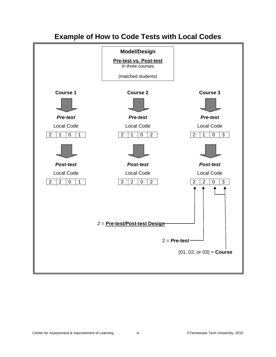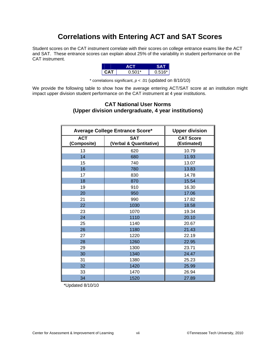## **Correlations with Entering ACT and SAT Scores**

Student scores on the CAT instrument correlate with their scores on college entrance exams like the ACT and SAT. These entrance scores can explain about 25% of the variability in student performance on the CAT instrument.

| -    |        |        |
|------|--------|--------|
| CA I | በ 501* | 0.516* |

\* correlations significant, *p* < .01 (updated on 8/10/10)

We provide the following table to show how the average entering ACT/SAT score at an institution might impact upper division student performance on the CAT instrument at 4 year institutions.

#### **CAT National User Norms (Upper division undergraduate, 4 year institutions)**

| <b>Average College Entrance Score*</b> |                                       | <b>Upper division</b>           |
|----------------------------------------|---------------------------------------|---------------------------------|
| <b>ACT</b><br>(Composite)              | <b>SAT</b><br>(Verbal & Quantitative) | <b>CAT Score</b><br>(Estimated) |
| 13                                     | 620                                   | 10.79                           |
| 14                                     | 680                                   | 11.93                           |
| 15                                     | 740                                   | 13.07                           |
| 16                                     | 780                                   | 13.83                           |
| 17                                     | 830                                   | 14.78                           |
| 18                                     | 870                                   | 15.54                           |
| 19                                     | 910                                   | 16.30                           |
| 20                                     | 950                                   | 17.06                           |
| 21                                     | 990                                   | 17.82                           |
| 22                                     | 1030                                  | 18.58                           |
| 23                                     | 1070                                  | 19.34                           |
| 24                                     | 1110                                  | 20.10                           |
| 25                                     | 1140                                  | 20.67                           |
| 26                                     | 1180                                  | 21.43                           |
| 27                                     | 1220                                  | 22.19                           |
| 28                                     | 1260                                  | 22.95                           |
| 29                                     | 1300                                  | 23.71                           |
| 30                                     | 1340                                  | 24.47                           |
| 31                                     | 1380                                  | 25.23                           |
| 32                                     | 1420                                  | 25.99                           |
| 33                                     | 1470                                  | 26.94                           |
| 34                                     | 1520                                  | 27.89                           |

\*Updated 8/10/10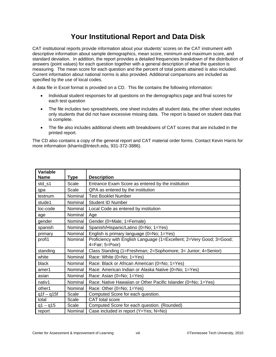## **Your Institutional Report and Data Disk**

CAT institutional reports provide information about your students' scores on the CAT instrument with descriptive information about sample demographics, mean score, minimum and maximum score, and standard deviation. In addition, the report provides a detailed frequencies breakdown of the distribution of answers (point values) for each question together with a general description of what the question is measuring. The mean score for each question and the percent of total points attained is also included. Current information about national norms is also provided. Additional comparisons are included as specified by the use of local codes.

A data file in Excel format is provided on a CD. This file contains the following information:

- Individual student responses for all questions on the demographics page and final scores for each test question
- The file includes two spreadsheets, one sheet includes all student data, the other sheet includes only students that did not have excessive missing data. The report is based on student data that is complete.
- The file also includes additional sheets with breakdowns of CAT scores that are included in the printed report.

The CD also contains a copy of the general report and CAT material order forms. Contact Kevin Harris for more information [\(kharris@tntech.edu](mailto:kharris@tntech.edu), 931-372-3886).

| Variable<br><b>Name</b> | <b>Type</b> | <b>Description</b>                                                                      |
|-------------------------|-------------|-----------------------------------------------------------------------------------------|
| std_s1                  | Scale       | Entrance Exam Score as entered by the institution                                       |
| qpa                     | Scale       | QPA as entered by the institution                                                       |
| testnum                 | Nominal     | <b>Test Booklet Number</b>                                                              |
| stude1                  | Nominal     | <b>Student ID Number</b>                                                                |
| loc-code                | Nominal     | Local Code as entered by institution                                                    |
| age                     | Nominal     | Age                                                                                     |
| gender                  | Nominal     | Gender (0=Male; 1=Female)                                                               |
| spanish                 | Nominal     | Spanish/Hispanic/Latino (0=No; 1=Yes)                                                   |
| primary                 | Nominal     | English is primary language (0=No; 1=Yes)                                               |
| profi1                  | Nominal     | Proficiency with English Language (1=Excellent; 2=Very Good; 3=Good;<br>4=Fair; 5=Poor) |
| standing                | Nominal     | Class Standing (1=Freshman; 2=Sophomore; 3= Junior; 4=Senior)                           |
| white                   | Nominal     | Race: White (0=No; 1=Yes)                                                               |
| black                   | Nominal     | Race: Black or African American (0=No; 1=Yes)                                           |
| amer1                   | Nominal     | Race: American Indian or Alaska Native (0=No; 1=Yes)                                    |
| asian                   | Nominal     | Race: Asian (0=No; 1=Yes)                                                               |
| nativ1                  | Nominal     | Race: Native Hawaiian or Other Pacific Islander (0=No; 1=Yes)                           |
| other1                  | Nominal     | Race: Other (0=No; 1=Yes)                                                               |
| $q1f - q15f$            | Scale       | Computed Score for each question.                                                       |
| total                   | Scale       | CAT total score                                                                         |
| $q1 - q15$              | Scale       | Computed Score for each question. (Rounded)                                             |
| report                  | Nominal     | Case included in report (Y=Yes; N=No)                                                   |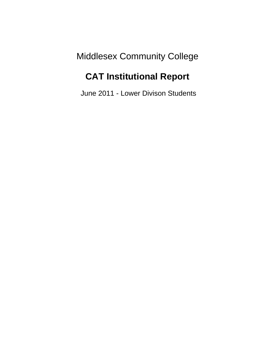Middlesex Community College

# **CAT Institutional Report**

June 2011 - Lower Divison Students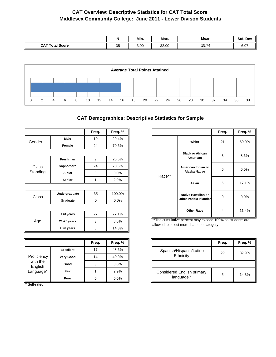### **CAT Overview: Descriptive Statistics for CAT Total Score Middlesex Community College: June 2011 - Lower Divison Students**

|                        | N  | Min. | Max.  | Mean  | Std. Dev |
|------------------------|----|------|-------|-------|----------|
| <b>CAT Total Score</b> | 35 | 3.00 | 32.00 | 15.74 | 6.07     |



### **CAT Demographics: Descriptive Statistics for Sample**

|          |                           | Freq. | Freq. % |
|----------|---------------------------|-------|---------|
| Gender   | Male                      | 10    | 29.4%   |
|          | Female                    | 24    | 70.6%   |
|          |                           |       |         |
|          | Freshman                  | 9     | 26.5%   |
| Class    | Sophomore                 | 24    | 70.6%   |
| Standing | Junior                    | 0     | 0.0%    |
|          | <b>Senior</b><br>1        |       | 2.9%    |
|          |                           |       |         |
|          | Undergraduate             | 35    | 100.0%  |
|          | Graduate                  | 0     | 0.0%    |
|          |                           |       |         |
|          | $≤$ 20 years              | 27    | 77.1%   |
| Age      | Class<br>3<br>21-25 years |       | 8.6%    |
|          | $\geq$ 26 years           | 5     | 14.3%   |

|                     |                          | Freq. | Freq. % |
|---------------------|--------------------------|-------|---------|
|                     | <b>Excellent</b>         | 17    | 48.6%   |
| Proficiency         | <b>Very Good</b><br>Good | 14    | 40.0%   |
| with the<br>English |                          | 3     | 8.6%    |
| Language*           | Fair                     |       | 2.9%    |
|                     | Poor                     |       | 0.0%    |

\* Self-rated

|        |                                                     | Freq. | Freq. % |  |
|--------|-----------------------------------------------------|-------|---------|--|
|        | White                                               | 21    | 60.0%   |  |
|        | <b>Black or African</b><br>American                 | 3     | 8.6%    |  |
| Race** | American Indian or<br><b>Alaska Native</b>          | O     | 0.0%    |  |
|        | Asian                                               | 6     | 17.1%   |  |
|        | Native Hawaiian or<br><b>Other Pacific Islander</b> | 0     | 0.0%    |  |
|        | <b>Other Race</b>                                   | 4     | 11.4%   |  |

\*\*The cumulative percent may exceed 100% as students are allowed to select more than one category.

|                                         | Freq. | Freq. % |
|-----------------------------------------|-------|---------|
| Spanish/Hispanic/Latino<br>Ethnicity    | 29    | 82.9%   |
|                                         |       |         |
| Considered English primary<br>language? | 5     | 14.3%   |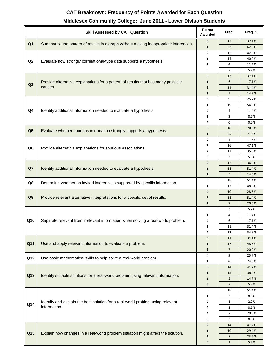### **CAT Breakdown: Frequency of Points Awarded for Each Question**

### **Middlesex Community College: June 2011 - Lower Divison Students**

|                | <b>Skill Assessed by CAT Question</b>                                                | <b>Points</b><br>Awarded | Freq.                | Freq. %        |
|----------------|--------------------------------------------------------------------------------------|--------------------------|----------------------|----------------|
| Q <sub>1</sub> | Summarize the pattern of results in a graph without making inappropriate inferences. | $\pmb{0}$                | 13                   | 37.1%          |
|                |                                                                                      | 1                        | 22                   | 62.9%          |
|                |                                                                                      | 0                        | 15                   | 42.9%          |
| Q2             | Evaluate how strongly correlational-type data supports a hypothesis.                 | 1                        | 14                   | 40.0%          |
|                |                                                                                      | 2                        | 4                    | 11.4%          |
|                |                                                                                      | 3                        | $\overline{2}$       | 5.7%           |
|                |                                                                                      | $\bf{0}$                 | 13                   | 37.1%          |
| Q <sub>3</sub> | Provide alternative explanations for a pattern of results that has many possible     | 1                        | 6                    | 17.1%          |
|                | causes.                                                                              | $\mathbf 2$              | 11                   | 31.4%          |
|                |                                                                                      | 3                        | 5                    | 14.3%          |
|                |                                                                                      | 0                        | 9                    | 25.7%          |
|                |                                                                                      | 1                        | 19                   | 54.3%          |
| Q <sub>4</sub> | Identify additional information needed to evaluate a hypothesis.                     | 2                        | 4                    | 11.4%          |
|                |                                                                                      | 3                        | 3                    | 8.6%           |
|                |                                                                                      | 4                        | 0                    | 0.0%           |
| Q <sub>5</sub> | Evaluate whether spurious information strongly supports a hypothesis.                | $\bf{0}$                 | 10                   | 28.6%          |
|                |                                                                                      | 1                        | 25                   | 71.4%          |
|                |                                                                                      | 0                        | 4                    | 11.8%          |
| Q <sub>6</sub> | Provide alternative explanations for spurious associations.                          | 1                        | 16                   | 47.1%          |
|                |                                                                                      | 2                        | 12<br>$\overline{2}$ | 35.3%          |
|                |                                                                                      | 3<br>$\bf{0}$            |                      | 5.9%           |
| Q7             | Identify additional information needed to evaluate a hypothesis.                     |                          | 12                   | 34.3%          |
|                |                                                                                      | 1<br>$\overline{2}$      | 18                   | 51.4%          |
|                |                                                                                      | 0                        | 5                    | 14.3%          |
| Q8             | Determine whether an invited inference is supported by specific information.         | 1                        | 18                   | 51.4%          |
|                | Provide relevant alternative interpretations for a specific set of results.          | $\bf{0}$                 | 17<br>10             | 48.6%<br>28.6% |
| Q <sub>9</sub> |                                                                                      | 1                        | 18                   | 51.4%          |
|                |                                                                                      | $\overline{2}$           | $\overline{7}$       | 20.0%          |
|                |                                                                                      | 0                        | $\overline{2}$       | 5.7%           |
|                |                                                                                      | 1                        | 4                    | 11.4%          |
| Q10            | Separate relevant from irrelevant information when solving a real-world problem.     | 2                        | 6                    | 17.1%          |
|                |                                                                                      | 3                        | 11                   | 31.4%          |
|                |                                                                                      | 4                        | 12                   | 34.3%          |
|                |                                                                                      | $\bf{0}$                 | 11                   | 31.4%          |
| Q11            | Use and apply relevant information to evaluate a problem.                            | 1                        | 17                   | 48.6%          |
|                |                                                                                      | $\overline{2}$           | $\overline{7}$       | 20.0%          |
|                |                                                                                      | 0                        | 9                    | 25.7%          |
| Q12            | Use basic mathematical skills to help solve a real-world problem.                    | 1                        | 26                   | 74.3%          |
|                |                                                                                      | $\pmb{0}$                | 14                   | 41.2%          |
|                |                                                                                      | 1                        | 13                   | 38.2%          |
| Q13            | Identify suitable solutions for a real-world problem using relevant information.     | $\mathbf{2}$             | 5                    | 14.7%          |
|                |                                                                                      | 3                        | $\overline{2}$       | 5.9%           |
|                |                                                                                      | $\pmb{0}$                | 18                   | 51.4%          |
|                |                                                                                      | 1                        | 3                    | 8.6%           |
| Q14            | Identify and explain the best solution for a real-world problem using relevant       | 2                        | $\mathbf{1}$         | 2.9%           |
|                | information.                                                                         | 3                        | 3                    | 8.6%           |
|                |                                                                                      | 4                        | 7                    | 20.0%          |
|                |                                                                                      | 5                        | 3                    | 8.6%           |
|                |                                                                                      | $\bf{0}$                 | 14                   | 41.2%          |
| Q15            | Explain how changes in a real-world problem situation might affect the solution.     | 1                        | 10                   | 29.4%          |
|                |                                                                                      | $\overline{2}$           | 8                    | 23.5%          |
|                |                                                                                      | $\mathbf 3$              | $\overline{2}$       | 5.9%           |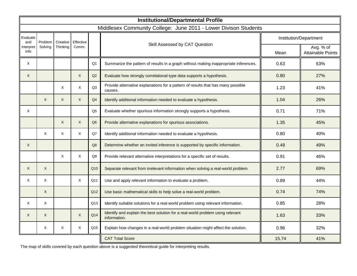|                  |              |              |              |                 | <b>Institutional/Departmental Profile</b>                                                      |       |                                       |
|------------------|--------------|--------------|--------------|-----------------|------------------------------------------------------------------------------------------------|-------|---------------------------------------|
|                  |              |              |              |                 | Middlesex Community College: June 2011 - Lower Divison Students                                |       |                                       |
| Evaluate<br>and  | Problem      | Creative     | Effective    |                 |                                                                                                |       | Institution/Department                |
| nterpret<br>Info | Solving      | Thinking     | Comm.        |                 | Skill Assessed by CAT Question                                                                 | Mean  | Avg. % of<br><b>Attainable Points</b> |
| X                |              |              |              | Q <sub>1</sub>  | Summarize the pattern of results in a graph without making inappropriate inferences.           | 0.63  | 63%                                   |
| X                |              |              | $\mathsf{X}$ | Q2              | Evaluate how strongly correlational-type data supports a hypothesis.                           | 0.80  | 27%                                   |
|                  |              | X            | X            | Q <sub>3</sub>  | Provide alternative explanations for a pattern of results that has many possible<br>causes.    | 1.23  | 41%                                   |
|                  | $\times$     | $\mathsf{X}$ | $\mathsf{X}$ | Q <sub>4</sub>  | Identify additional information needed to evaluate a hypothesis.                               | 1.04  | 26%                                   |
| Χ                |              |              |              | Q <sub>5</sub>  | Evaluate whether spurious information strongly supports a hypothesis.                          | 0.71  | 71%                                   |
|                  |              | $\mathsf{X}$ | $\mathsf{X}$ | Q <sub>6</sub>  | Provide alternative explanations for spurious associations.                                    | 1.35  | 45%                                   |
|                  | $\times$     | X            | X            | Q7              | Identify additional information needed to evaluate a hypothesis.                               | 0.80  | 40%                                   |
| X                |              |              |              | Q <sub>8</sub>  | Determine whether an invited inference is supported by specific information.                   | 0.49  | 49%                                   |
|                  |              | X            | X            | Q9              | Provide relevant alternative interpretations for a specific set of results.                    | 0.91  | 46%                                   |
| X                | X            |              |              | Q10             | Separate relevant from irrelevant information when solving a real-world problem.               | 2.77  | 69%                                   |
| X                | X            |              | X            | Q11             | Use and apply relevant information to evaluate a problem.                                      | 0.89  | 44%                                   |
|                  | X            |              |              | Q <sub>12</sub> | Use basic mathematical skills to help solve a real-world problem.                              | 0.74  | 74%                                   |
| X                | X            |              |              | Q13             | Identify suitable solutions for a real-world problem using relevant information.               | 0.85  | 28%                                   |
| X                | $\mathsf{X}$ |              | X            | Q14             | Identify and explain the best solution for a real-world problem using relevant<br>information. | 1.63  | 33%                                   |
|                  | X            | X            | X            | Q15             | Explain how changes in a real-world problem situation might affect the solution.               | 0.96  | 32%                                   |
|                  |              |              |              |                 | <b>CAT Total Score</b>                                                                         | 15.74 | 41%                                   |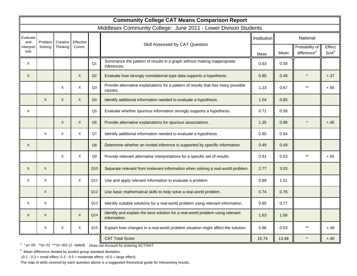|                   | <b>Community College CAT Means Comparison Report</b> |              |           |                |                                                                                                |                    |       |                                           |                             |  |
|-------------------|------------------------------------------------------|--------------|-----------|----------------|------------------------------------------------------------------------------------------------|--------------------|-------|-------------------------------------------|-----------------------------|--|
|                   |                                                      |              |           |                | Middlesex Community College: June 2011 - Lower Divison Students                                |                    |       |                                           |                             |  |
| Evaluate<br>and   | Problem                                              | Creative     | Effective |                |                                                                                                | <b>Institution</b> |       | National                                  |                             |  |
| Interpret<br>Info | Solving                                              | Thinking     | Comm.     |                | Skill Assessed by CAT Question                                                                 | Mean               | Mean  | Probability of<br>difference <sup>a</sup> | Effect<br>Size <sup>b</sup> |  |
| X                 |                                                      |              |           | O <sub>1</sub> | Summarize the pattern of results in a graph without making inappropriate<br>inferences.        | 0.63               | 0.59  |                                           |                             |  |
| X                 |                                                      |              | X         | Q2             | Evaluate how strongly correlational-type data supports a hypothesis.                           | 0.80               | 0.49  |                                           | $+.37$                      |  |
|                   |                                                      | X            | X         | Q <sub>3</sub> | Provide alternative explanations for a pattern of results that has many possible<br>causes.    | 1.23               | 0.67  |                                           | $+.55$                      |  |
|                   | X                                                    | $\mathsf{X}$ | X         | Q4             | Identify additional information needed to evaluate a hypothesis.                               | 1.04               | 0.85  |                                           |                             |  |
| Χ                 |                                                      |              |           | Q <sub>5</sub> | Evaluate whether spurious information strongly supports a hypothesis.                          | 0.71               | 0.58  |                                           |                             |  |
|                   |                                                      | $\times$     | X         | Q <sub>6</sub> | Provide alternative explanations for spurious associations.                                    | 1.35               | 0.98  |                                           | $+.45$                      |  |
|                   | X                                                    | X            | X         | Q7             | Identify additional information needed to evaluate a hypothesis.                               | 0.80               | 0.64  |                                           |                             |  |
| X                 |                                                      |              |           | Q <sub>8</sub> | Determine whether an invited inference is supported by specific information.                   | 0.49               | 0.49  |                                           |                             |  |
|                   |                                                      | X            | X         | Q9             | Provide relevant alternative interpretations for a specific set of results.                    | 0.91               | 0.53  | $***$                                     | $+.55$                      |  |
| X                 | X                                                    |              |           | Q10            | Separate relevant from irrelevant information when solving a real-world problem.               | 2.77               | 3.03  |                                           |                             |  |
| X                 | X                                                    |              | X         | Q11            | Use and apply relevant information to evaluate a problem.                                      | 0.89               | 1.01  |                                           |                             |  |
|                   | X                                                    |              |           | Q12            | Use basic mathematical skills to help solve a real-world problem.                              | 0.74               | 0.76  |                                           |                             |  |
| X                 | X                                                    |              |           | Q13            | Identify suitable solutions for a real-world problem using relevant information.               | 0.85               | 0.77  |                                           |                             |  |
| X                 | X                                                    |              | X         | Q14            | Identify and explain the best solution for a real-world problem using relevant<br>information. | 1.63               | 1.56  |                                           |                             |  |
|                   | X                                                    | X            | X         | Q15            | Explain how changes in a real-world problem situation might affect the solution.               | 0.96               | 0.53  |                                           | +.49                        |  |
|                   |                                                      |              |           |                | <b>CAT Total Score</b>                                                                         | 15.74              | 13.48 |                                           | $+.40$                      |  |

<sup>a</sup>. \* p<.05 \*\*p<.01 \*\*\*p<.001 (2 -tailed) Does not Account for entering ACT/SAT.

<sup>b</sup>. Mean difference divided by pooled group standard deviation.

 $(0.1 - 0.3 =$  small effect;  $0.3 - 0.5 =$  moderate effect;  $>0.5 =$  large effect)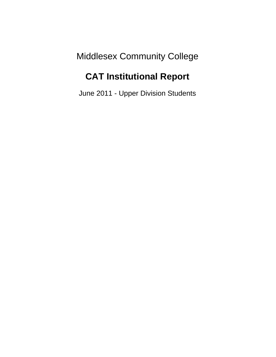Middlesex Community College

# **CAT Institutional Report**

June 2011 - Upper Division Students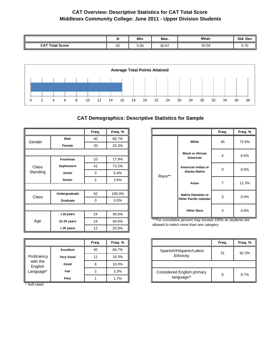### **CAT Overview: Descriptive Statistics for CAT Total Score Middlesex Community College: June 2011 - Upper Division Students**

|                        | N  | Min. | Max.  | Mean  | Std. Dev                         |
|------------------------|----|------|-------|-------|----------------------------------|
| <b>CAT Total Score</b> | 62 | 5.00 | 30.67 | 16.04 | $-70$<br>J. I U<br>$\sim$ $\sim$ |



### **CAT Demographics: Descriptive Statistics for Sample**

|          |                 | Freq.          | Freq. % |
|----------|-----------------|----------------|---------|
| Gender   | Male            | 40             | 66.7%   |
|          | Female          | 20             | 33.3%   |
|          |                 |                |         |
|          | Freshman        | 10             | 17.9%   |
| Class    | Sophomore       | 41             | 73.2%   |
| Standing | Junior          | 3              | 5.4%    |
|          | <b>Senior</b>   | $\overline{2}$ | 3.6%    |
|          |                 |                |         |
| Class    | Undergraduate   | 62             | 100.0%  |
|          | Graduate        | 0              | 0.0%    |
|          |                 |                |         |
|          | ≤ 20 years      | 24             | 40.0%   |
| Age      | 21-25 years     | 24             | 40.0%   |
|          | $\geq$ 26 years | 12             | 20.0%   |

|                     |                  | Freq. | Freq. % |
|---------------------|------------------|-------|---------|
|                     | <b>Excellent</b> | 40    | 66.7%   |
| Proficiency         | <b>Very Good</b> | 11    | 18.3%   |
| with the<br>English | Good             |       | 10.0%   |
| Language*           | Fair             |       | 3.3%    |
|                     | Poor             |       | 1.7%    |

\* Self-rated

|        |                                                          | Freq. | Freq. % |
|--------|----------------------------------------------------------|-------|---------|
|        | White                                                    | 45    | 72.6%   |
|        | <b>Black or African</b><br>American                      | 4     | 6.5%    |
| Race** | American Indian or<br><b>Alaska Native</b>               | 0     | 0.0%    |
|        | Asian                                                    | 7     | 11.3%   |
|        | Native Hawaiian or<br>U<br><b>Other Pacific Islander</b> |       | 0.0%    |
|        | <b>Other Race</b>                                        | 3     | 4.8%    |

\*\*The cumulative percent may exceed 100% as students are allowed to select more than one category.

|                                                | Freq. | Freq. % |
|------------------------------------------------|-------|---------|
| Spanish/Hispanic/Latino<br>Ethnicity           | 51    | 82.3%   |
|                                                |       |         |
| <b>Considered English primary</b><br>language? |       | 9.7%    |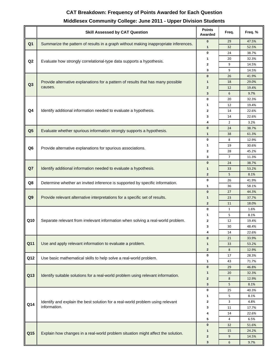### **CAT Breakdown: Frequency of Points Awarded for Each Question**

### **Middlesex Community College: June 2011 - Upper Division Students**

|                | <b>Skill Assessed by CAT Question</b>                                                | <b>Points</b><br>Awarded | Freq.          | Freq. %        |
|----------------|--------------------------------------------------------------------------------------|--------------------------|----------------|----------------|
| Q <sub>1</sub> | Summarize the pattern of results in a graph without making inappropriate inferences. | $\bf{0}$                 | 29             | 47.5%          |
|                |                                                                                      | 1                        | 32             | 52.5%          |
|                |                                                                                      | $\pmb{0}$                | 24             | 38.7%          |
| Q2             | Evaluate how strongly correlational-type data supports a hypothesis.                 | 1                        | 20             | 32.3%          |
|                |                                                                                      | $\mathbf{2}$             | 9              | 14.5%          |
|                |                                                                                      | 3<br>$\bf{0}$            | 9              | 14.5%          |
|                | Provide alternative explanations for a pattern of results that has many possible     | $\mathbf{1}$             | 26<br>18       | 41.9%<br>29.0% |
| Q <sub>3</sub> | causes.                                                                              | $\overline{2}$           | 12             | 19.4%          |
|                |                                                                                      | 3                        | 6              | 9.7%           |
|                |                                                                                      | $\bf{0}$                 | 20             | 32.3%          |
|                |                                                                                      | 1                        | 12             | 19.4%          |
| Q4             | Identify additional information needed to evaluate a hypothesis.                     | $\mathbf 2$              | 14             | 22.6%          |
|                |                                                                                      | 3                        | 14             | 22.6%          |
|                |                                                                                      | 4                        | $\overline{2}$ | 3.2%           |
|                |                                                                                      | $\bf{0}$                 | 24             | 38.7%          |
| Q <sub>5</sub> | Evaluate whether spurious information strongly supports a hypothesis.                | $\mathbf{1}$             | 38             | 61.3%          |
|                |                                                                                      | $\bf{0}$                 | 8              | 12.9%          |
| Q <sub>6</sub> | Provide alternative explanations for spurious associations.                          | 1                        | 19             | 30.6%          |
|                |                                                                                      | $\mathbf{2}$             | 28             | 45.2%          |
|                |                                                                                      | 3                        | 7              | 11.3%          |
|                |                                                                                      | $\bf{0}$                 | 24             | 38.7%          |
| Q7             | Identify additional information needed to evaluate a hypothesis.                     | 1                        | 33             | 53.2%          |
|                |                                                                                      | $\mathbf{2}$             | 5              | 8.1%           |
| Q8             | Determine whether an invited inference is supported by specific information.         | $\bf{0}$                 | 26             | 41.9%          |
|                |                                                                                      | 1                        | 36             | 58.1%          |
|                |                                                                                      | $\bf{0}$                 | 27             | 44.3%          |
| Q <sub>9</sub> | Provide relevant alternative interpretations for a specific set of results.          | $\mathbf{1}$             | 23             | 37.7%          |
|                |                                                                                      | $\mathbf{2}$             | 11             | 18.0%          |
|                |                                                                                      | $\bf{0}$                 | $\mathbf{1}$   | 1.6%           |
| Q10            | Separate relevant from irrelevant information when solving a real-world problem.     | 1<br>$\mathbf{2}$        | 5              | 8.1%           |
|                |                                                                                      | 3                        | 12<br>30       | 19.4%<br>48.4% |
|                |                                                                                      | 4                        | 14             | 22.6%          |
|                |                                                                                      | $\bf{0}$                 | 21             | 33.9%          |
| Q11            | Use and apply relevant information to evaluate a problem.                            | $\mathbf{1}$             | 33             | 53.2%          |
|                |                                                                                      | $\mathbf{2}$             | 8              | 12.9%          |
|                |                                                                                      | $\bf{0}$                 | 17             | 28.3%          |
| Q12            | Use basic mathematical skills to help solve a real-world problem.                    | 1                        | 43             | 71.7%          |
|                |                                                                                      | $\bf{0}$                 | 29             | 46.8%          |
|                |                                                                                      | 1                        | 20             | 32.3%          |
| Q13            | Identify suitable solutions for a real-world problem using relevant information.     | $\mathbf{2}$             | 8              | 12.9%          |
|                |                                                                                      | $\mathbf{3}$             | 5              | 8.1%           |
|                |                                                                                      | $\bf{0}$                 | 25             | 40.3%          |
|                |                                                                                      | 1                        | 5              | 8.1%           |
| Q14            | Identify and explain the best solution for a real-world problem using relevant       | $\mathbf{2}$             | 3              | 4.8%           |
|                | information.                                                                         | 3                        | 11             | 17.7%          |
|                |                                                                                      | 4                        | 14             | 22.6%          |
|                |                                                                                      | 5                        | 4              | 6.5%           |
|                |                                                                                      | $\mathbf{0}$             | 32             | 51.6%          |
| Q15            | Explain how changes in a real-world problem situation might affect the solution.     | $\mathbf{1}$             | 15             | 24.2%          |
|                |                                                                                      | $\boldsymbol{2}$         | 9              | 14.5%          |
|                |                                                                                      | $\mathbf{3}$             | 6              | 9.7%           |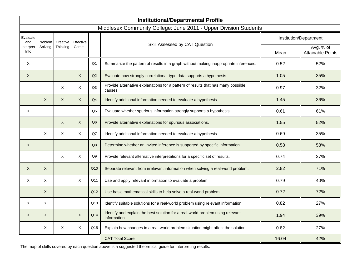|                  |              |              |              |                 | <b>Institutional/Departmental Profile</b>                                                      |       |                                       |
|------------------|--------------|--------------|--------------|-----------------|------------------------------------------------------------------------------------------------|-------|---------------------------------------|
|                  |              |              |              |                 | Middlesex Community College: June 2011 - Upper Division Students                               |       |                                       |
| Evaluate<br>and  | Problem      | Creative     | Effective    |                 |                                                                                                |       | Institution/Department                |
| nterpret<br>Info | Solving      | Thinking     | Comm.        |                 | Skill Assessed by CAT Question                                                                 | Mean  | Avg. % of<br><b>Attainable Points</b> |
| X                |              |              |              | Q <sub>1</sub>  | Summarize the pattern of results in a graph without making inappropriate inferences.           | 0.52  | 52%                                   |
| X                |              |              | $\mathsf{X}$ | Q2              | Evaluate how strongly correlational-type data supports a hypothesis.                           | 1.05  | 35%                                   |
|                  |              | X            | X            | Q <sub>3</sub>  | Provide alternative explanations for a pattern of results that has many possible<br>causes.    | 0.97  | 32%                                   |
|                  | $\times$     | $\mathsf{X}$ | $\mathsf{X}$ | Q <sub>4</sub>  | Identify additional information needed to evaluate a hypothesis.                               | 1.45  | 36%                                   |
| Χ                |              |              |              | Q <sub>5</sub>  | Evaluate whether spurious information strongly supports a hypothesis.                          | 0.61  | 61%                                   |
|                  |              | $\mathsf{X}$ | $\mathsf{X}$ | Q <sub>6</sub>  | Provide alternative explanations for spurious associations.                                    | 1.55  | 52%                                   |
|                  | $\times$     | X            | X            | Q7              | Identify additional information needed to evaluate a hypothesis.                               | 0.69  | 35%                                   |
| X                |              |              |              | Q <sub>8</sub>  | Determine whether an invited inference is supported by specific information.                   | 0.58  | 58%                                   |
|                  |              | X            | X            | Q9              | Provide relevant alternative interpretations for a specific set of results.                    | 0.74  | 37%                                   |
| X                | X            |              |              | Q10             | Separate relevant from irrelevant information when solving a real-world problem.               | 2.82  | 71%                                   |
| X                | X            |              | X            | Q11             | Use and apply relevant information to evaluate a problem.                                      | 0.79  | 40%                                   |
|                  | X            |              |              | Q <sub>12</sub> | Use basic mathematical skills to help solve a real-world problem.                              | 0.72  | 72%                                   |
| X                | X            |              |              | Q13             | Identify suitable solutions for a real-world problem using relevant information.               | 0.82  | 27%                                   |
| X                | $\mathsf{X}$ |              | X            | Q14             | Identify and explain the best solution for a real-world problem using relevant<br>information. | 1.94  | 39%                                   |
|                  | X            | X            | X            | Q15             | Explain how changes in a real-world problem situation might affect the solution.               | 0.82  | 27%                                   |
|                  |              |              |              |                 | <b>CAT Total Score</b>                                                                         | 16.04 | 42%                                   |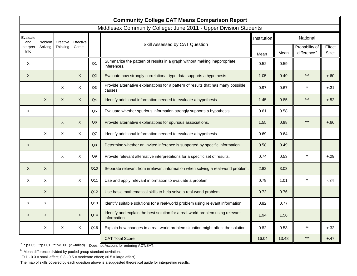|                  |          | <b>Community College CAT Means Comparison Report</b> |              |                |                                                                                                |             |       |                                           |                 |  |
|------------------|----------|------------------------------------------------------|--------------|----------------|------------------------------------------------------------------------------------------------|-------------|-------|-------------------------------------------|-----------------|--|
|                  |          |                                                      |              |                | Middlesex Community College: June 2011 - Upper Division Students                               |             |       |                                           |                 |  |
| Evaluate<br>and  | Problem  | Creative                                             | Effective    |                |                                                                                                | Institution |       | National                                  |                 |  |
| nterpret<br>Info | Solving  | Thinking                                             | Comm.        |                | Skill Assessed by CAT Question                                                                 | Mean        | Mean  | Probability of<br>difference <sup>a</sup> | Effect<br>Sizeb |  |
| X                |          |                                                      |              | Q <sub>1</sub> | Summarize the pattern of results in a graph without making inappropriate<br>inferences.        | 0.52        | 0.59  |                                           |                 |  |
| X                |          |                                                      | $\mathsf{X}$ | Q2             | Evaluate how strongly correlational-type data supports a hypothesis.                           | 1.05        | 0.49  | $***$                                     | $+.60$          |  |
|                  |          | X                                                    | X            | Q <sub>3</sub> | Provide alternative explanations for a pattern of results that has many possible<br>causes.    | 0.97        | 0.67  |                                           | $+.31$          |  |
|                  | $\times$ | $\mathsf{X}$                                         | $\mathsf{X}$ | Q <sub>4</sub> | Identify additional information needed to evaluate a hypothesis.                               | 1.45        | 0.85  | ***                                       | $+.52$          |  |
| X                |          |                                                      |              | Q <sub>5</sub> | Evaluate whether spurious information strongly supports a hypothesis.                          | 0.61        | 0.58  |                                           |                 |  |
|                  |          | $\mathsf{X}$                                         | $\mathsf{X}$ | Q <sub>6</sub> | Provide alternative explanations for spurious associations.                                    | 1.55        | 0.98  | $***$                                     | $+.66$          |  |
|                  | X        | X                                                    | X            | Q7             | Identify additional information needed to evaluate a hypothesis.                               | 0.69        | 0.64  |                                           |                 |  |
| X                |          |                                                      |              | Q <sub>8</sub> | Determine whether an invited inference is supported by specific information.                   | 0.58        | 0.49  |                                           |                 |  |
|                  |          | X                                                    | X            | Q9             | Provide relevant alternative interpretations for a specific set of results.                    | 0.74        | 0.53  | $\star$                                   | $+.29$          |  |
| X                | X        |                                                      |              | Q10            | Separate relevant from irrelevant information when solving a real-world problem.               | 2.82        | 3.03  |                                           |                 |  |
| Χ                | X        |                                                      | X            | Q11            | Use and apply relevant information to evaluate a problem.                                      | 0.79        | 1.01  | $\star$                                   | $-.34$          |  |
|                  | X        |                                                      |              | Q12            | Use basic mathematical skills to help solve a real-world problem.                              | 0.72        | 0.76  |                                           |                 |  |
| Χ                | X        |                                                      |              | Q13            | Identify suitable solutions for a real-world problem using relevant information.               | 0.82        | 0.77  |                                           |                 |  |
| X                | X        |                                                      | X            | Q14            | Identify and explain the best solution for a real-world problem using relevant<br>information. | 1.94        | 1.56  |                                           |                 |  |
|                  | X        | Χ                                                    | X            | Q15            | Explain how changes in a real-world problem situation might affect the solution.               | 0.82        | 0.53  | $***$                                     | $+.32$          |  |
|                  |          |                                                      |              |                | <b>CAT Total Score</b>                                                                         | 16.04       | 13.48 | ***                                       | $+.47$          |  |

<sup>a</sup>. \* p<.05 \*\*p<.01 \*\*\*p<.001 (2 -tailed) Does not Account for entering ACT/SAT.

<sup>b</sup>. Mean difference divided by pooled group standard deviation.

 $(0.1 - 0.3 =$  small effect;  $0.3 - 0.5 =$  moderate effect;  $>0.5 =$  large effect)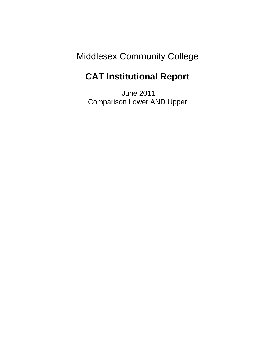# Middlesex Community College

## **CAT Institutional Report**

 June 2011 Comparison Lower AND Upper